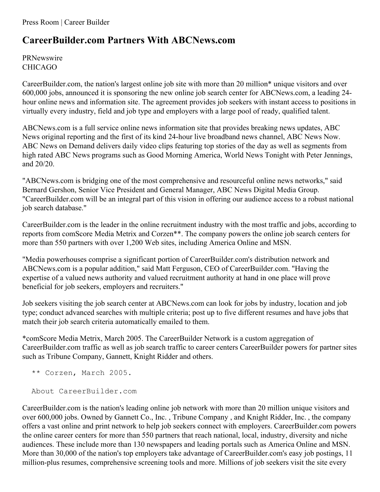## **CareerBuilder.com Partners With ABCNews.com**

PRNewswire CHICAGO

CareerBuilder.com, the nation's largest online job site with more than 20 million\* unique visitors and over 600,000 jobs, announced it is sponsoring the new online job search center for ABCNews.com, a leading 24 hour online news and information site. The agreement provides job seekers with instant access to positions in virtually every industry, field and job type and employers with a large pool of ready, qualified talent.

ABCNews.com is a full service online news information site that provides breaking news updates, ABC News original reporting and the first of its kind 24-hour live broadband news channel, ABC News Now. ABC News on Demand delivers daily video clips featuring top stories of the day as well as segments from high rated ABC News programs such as Good Morning America, World News Tonight with Peter Jennings, and 20/20.

"ABCNews.com is bridging one of the most comprehensive and resourceful online news networks," said Bernard Gershon, Senior Vice President and General Manager, ABC News Digital Media Group. "CareerBuilder.com will be an integral part of this vision in offering our audience access to a robust national job search database."

CareerBuilder.com is the leader in the online recruitment industry with the most traffic and jobs, according to reports from comScore Media Metrix and Corzen\*\*. The company powers the online job search centers for more than 550 partners with over 1,200 Web sites, including America Online and MSN.

"Media powerhouses comprise a significant portion of CareerBuilder.com's distribution network and ABCNews.com is a popular addition," said Matt Ferguson, CEO of CareerBuilder.com. "Having the expertise of a valued news authority and valued recruitment authority at hand in one place will prove beneficial for job seekers, employers and recruiters."

Job seekers visiting the job search center at ABCNews.com can look for jobs by industry, location and job type; conduct advanced searches with multiple criteria; post up to five different resumes and have jobs that match their job search criteria automatically emailed to them.

\*comScore Media Metrix, March 2005. The CareerBuilder Network is a custom aggregation of CareerBuilder.com traffic as well as job search traffic to career centers CareerBuilder powers for partner sites such as Tribune Company, Gannett, Knight Ridder and others.

```
** Corzen, March 2005.
```
About CareerBuilder.com

CareerBuilder.com is the nation's leading online job network with more than 20 million unique visitors and over 600,000 jobs. Owned by Gannett Co., Inc. , Tribune Company , and Knight Ridder, Inc. , the company offers a vast online and print network to help job seekers connect with employers. CareerBuilder.com powers the online career centers for more than 550 partners that reach national, local, industry, diversity and niche audiences. These include more than 130 newspapers and leading portals such as America Online and MSN. More than 30,000 of the nation's top employers take advantage of CareerBuilder.com's easy job postings, 11 million-plus resumes, comprehensive screening tools and more. Millions of job seekers visit the site every